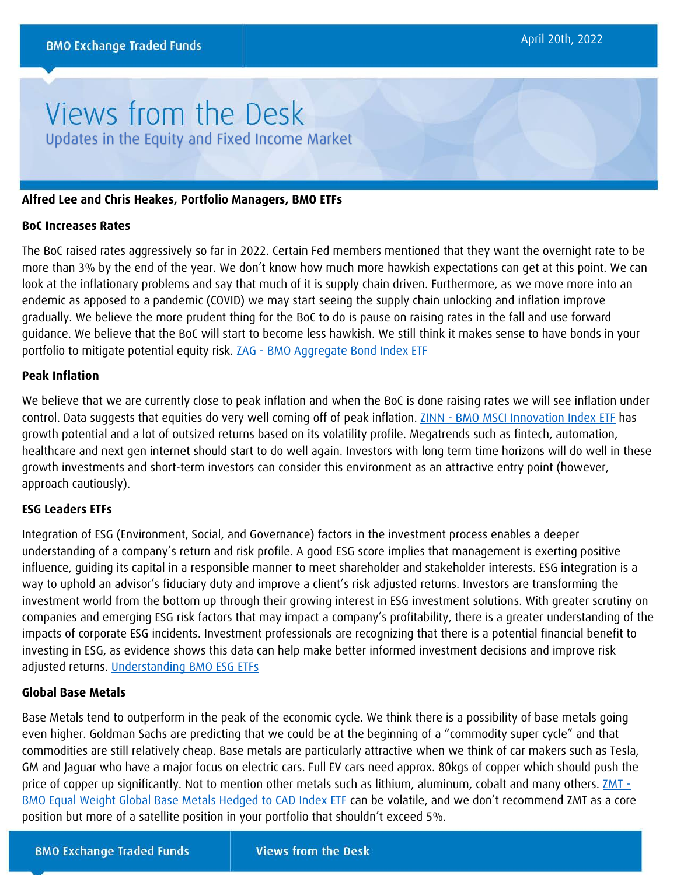# Views from the Desk Updates in the Equity and Fixed Income Market

### **Alfred Lee and Chris Heakes, Portfolio Managers, BMO ETFs**

#### **BoC Increases Rates**

The BoC raised rates aggressively so far in 2022. Certain Fed members mentioned that they want the overnight rate to be more than 3% by the end of the year. We don't know how much more hawkish expectations can get at this point. We can look at the inflationary problems and say that much of it is supply chain driven. Furthermore, as we move more into an endemic as apposed to a pandemic (COVID) we may start seeing the supply chain unlocking and inflation improve gradually. We believe the more prudent thing for the BoC to do is pause on raising rates in the fall and use forward guidance. We believe that the BoC will start to become less hawkish. We still think it makes sense to have bonds in your portfolio to mitigate potential equity risk. **ZAG - [BMO Aggregate Bond Index ETF](https://www.bmo.com/gam/ca/advisor/products/etfs?fundUrl=/fundProfile/ZAG#fundUrl=%2FfundProfile%2FZAG)** 

## **Peak Inflation**

We believe that we are currently close to peak inflation and when the BoC is done raising rates we will see inflation under control. Data suggests that equities do very well coming off of peak inflation. **ZINN - [BMO MSCI Innovation Index ETF](https://www.bmo.com/gam/ca/advisor/products/etfs?fundUrl=/fundProfile/ZINN#fundUrl=%2FfundProfile%2FZINN)** has growth potential and a lot of outsized returns based on its volatility profile. Megatrends such as fintech, automation, healthcare and next gen internet should start to do well again. Investors with long term time horizons will do well in these growth investments and short-term investors can consider this environment as an attractive entry point (however, approach cautiously).

## **ESG Leaders ETFs**

Integration of ESG (Environment, Social, and Governance) factors in the investment process enables a deeper understanding of a company's return and risk profile. A good ESG score implies that management is exerting positive influence, guiding its capital in a responsible manner to meet shareholder and stakeholder interests. ESG integration is a way to uphold an advisor's fiduciary duty and improve a client's risk adjusted returns. Investors are transforming the investment world from the bottom up through their growing interest in ESG investment solutions. With greater scrutiny on companies and emerging ESG risk factors that may impact a company's profitability, there is a greater understanding of the impacts of corporate ESG incidents. Investment professionals are recognizing that there is a potential financial benefit to investing in ESG, as evidence shows this data can help make better informed investment decisions and improve risk adjusted returns. [Understanding BMO ESG ETFs](https://bmogamhub.com/system/files/understanding_bmo_esg_etfs_4_en.pdf?file=1&type=node&id=104519)

## **Global Base Metals**

Base Metals tend to outperform in the peak of the economic cycle. We think there is a possibility of base metals going even higher. Goldman Sachs are predicting that we could be at the beginning of a "commodity super cycle" and that commodities are still relatively cheap. Base metals are particularly attractive when we think of car makers such as Tesla, GM and Jaguar who have a major focus on electric cars. Full EV cars need approx. 80kgs of copper which should push the price of copper up significantly. Not to mention other metals such as lithium, aluminum, cobalt and many others. **ZMT** -[BMO Equal Weight Global Base Metals Hedged to CAD Index ETF](https://www.bmo.com/gam/ca/advisor/products/etfs?fundUrl=/fundProfile/ZMT#fundUrl=%2FfundProfile%2FZMT) can be volatile, and we don't recommend ZMT as a core position but more of a satellite position in your portfolio that shouldn't exceed 5%.

**BMO Exchange Traded Funds**